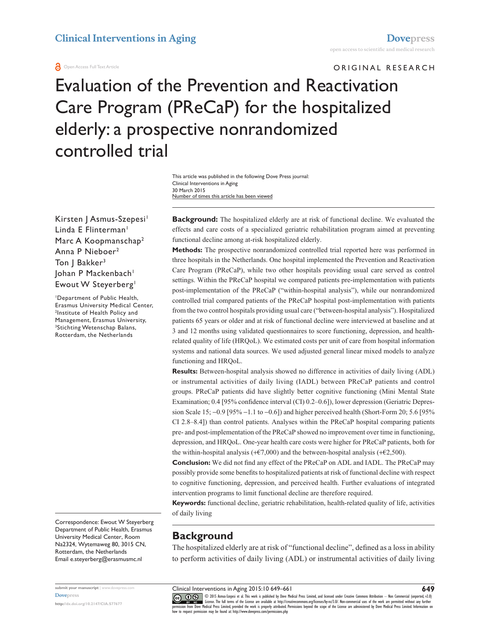#### **a** Open Access Full Text Article

ORIGINAL RESEARCH

# Evaluation of the Prevention and Reactivation Care Program (PReCaP) for the hospitalized elderly: a prospective nonrandomized controlled trial

This article was published in the following Dove Press journal: Clinical Interventions in Aging 30 March 2015 Number of times this article has been viewed

Kirsten | Asmus-Szepesi<sup>1</sup> Linda E Flinterman<sup>1</sup> Marc A Koopmanschap<sup>2</sup> Anna P Nieboer2 Ton | Bakker<sup>3</sup> Johan P Mackenbach<sup>1</sup> Ewout W Steyerberg<sup>1</sup>

1 Department of Public Health, Erasmus University Medical Center, 2 Institute of Health Policy and Management, Erasmus University, 3 <sup>3</sup>Stichting Wetenschap Balans, Rotterdam, the Netherlands

Correspondence: Ewout W Steyerberg Department of Public Health, Erasmus University Medical Center, Room Na2324, Wytemaweg 80, 3015 CN, Rotterdam, the Netherlands Email [e.steyerberg@erasmusmc.nl](mailto:e.steyerberg@erasmusmc.nl)

**submit your manuscript** | <www.dovepress.com> **[Dovepress](www.dovepress.com)**

**<http://dx.doi.org/10.2147/CIA.S77677>**

**Background:** The hospitalized elderly are at risk of functional decline. We evaluated the effects and care costs of a specialized geriatric rehabilitation program aimed at preventing functional decline among at-risk hospitalized elderly.

**Methods:** The prospective nonrandomized controlled trial reported here was performed in three hospitals in the Netherlands. One hospital implemented the Prevention and Reactivation Care Program (PReCaP), while two other hospitals providing usual care served as control settings. Within the PReCaP hospital we compared patients pre-implementation with patients post-implementation of the PReCaP ("within-hospital analysis"), while our nonrandomized controlled trial compared patients of the PReCaP hospital post-implementation with patients from the two control hospitals providing usual care ("between-hospital analysis"). Hospitalized patients 65 years or older and at risk of functional decline were interviewed at baseline and at 3 and 12 months using validated questionnaires to score functioning, depression, and healthrelated quality of life (HRQoL). We estimated costs per unit of care from hospital information systems and national data sources. We used adjusted general linear mixed models to analyze functioning and HRQoL.

**Results:** Between-hospital analysis showed no difference in activities of daily living (ADL) or instrumental activities of daily living (IADL) between PReCaP patients and control groups. PReCaP patients did have slightly better cognitive functioning (Mini Mental State Examination; 0.4 [95% confidence interval (CI) 0.2–0.6]), lower depression (Geriatric Depression Scale 15;  $-0.9$  [95%  $-1.1$  to  $-0.6$ ]) and higher perceived health (Short-Form 20; 5.6 [95% CI 2.8–8.4]) than control patients. Analyses within the PReCaP hospital comparing patients pre- and post-implementation of the PReCaP showed no improvement over time in functioning, depression, and HRQoL. One-year health care costs were higher for PReCaP patients, both for the within-hospital analysis ( $+$ €7,000) and the between-hospital analysis ( $+$ €2,500).

**Conclusion:** We did not find any effect of the PReCaP on ADL and IADL. The PReCaP may possibly provide some benefits to hospitalized patients at risk of functional decline with respect to cognitive functioning, depression, and perceived health. Further evaluations of integrated intervention programs to limit functional decline are therefore required.

**Keywords:** functional decline, geriatric rehabilitation, health-related quality of life, activities of daily living

# **Background**

The hospitalized elderly are at risk of "functional decline", defined as a loss in ability to perform activities of daily living (ADL) or instrumental activities of daily living

Clinical Interventions in Aging 2015:10 649–661

CO OD 15 Asmus-Szepesi et al. This work is published by Dove Medical Press Limited, and licensed under Creative Commons Attribution — Non Commercial (unported, v3.0)<br> [permission from Dove M](http://www.dovepress.com/permissions.php)edical Press Limited, provided th how to request permission may be found at: http://www.dovepress.com/permissions.php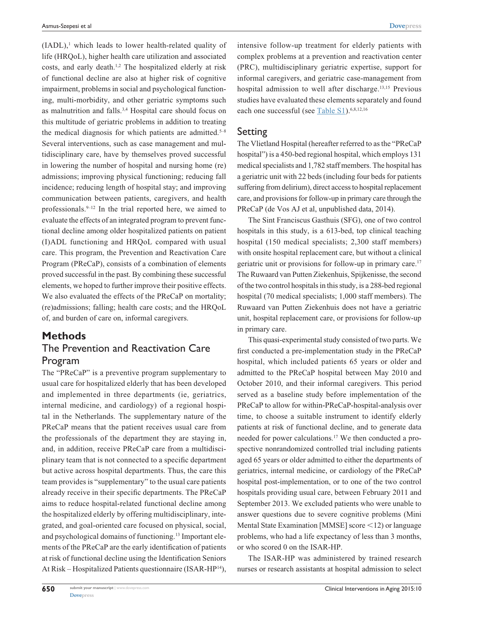$(IADL)$ ,<sup>1</sup> which leads to lower health-related quality of life (HRQoL), higher health care utilization and associated costs, and early death.1,2 The hospitalized elderly at risk of functional decline are also at higher risk of cognitive impairment, problems in social and psychological functioning, multi-morbidity, and other geriatric symptoms such as malnutrition and falls.<sup>3,4</sup> Hospital care should focus on this multitude of geriatric problems in addition to treating the medical diagnosis for which patients are admitted. $5-8$ Several interventions, such as case management and multidisciplinary care, have by themselves proved successful in lowering the number of hospital and nursing home (re) admissions; improving physical functioning; reducing fall incidence; reducing length of hospital stay; and improving communication between patients, caregivers, and health professionals.<sup>9-12</sup> In the trial reported here, we aimed to evaluate the effects of an integrated program to prevent functional decline among older hospitalized patients on patient (I)ADL functioning and HRQoL compared with usual care. This program, the Prevention and Reactivation Care Program (PReCaP), consists of a combination of elements proved successful in the past. By combining these successful elements, we hoped to further improve their positive effects. We also evaluated the effects of the PReCaP on mortality; (re)admissions; falling; health care costs; and the HRQoL of, and burden of care on, informal caregivers.

#### **Methods**

# The Prevention and Reactivation Care Program

The "PReCaP" is a preventive program supplementary to usual care for hospitalized elderly that has been developed and implemented in three departments (ie, geriatrics, internal medicine, and cardiology) of a regional hospital in the Netherlands. The supplementary nature of the PReCaP means that the patient receives usual care from the professionals of the department they are staying in, and, in addition, receive PReCaP care from a multidisciplinary team that is not connected to a specific department but active across hospital departments. Thus, the care this team provides is "supplementary" to the usual care patients already receive in their specific departments. The PReCaP aims to reduce hospital-related functional decline among the hospitalized elderly by offering multidisciplinary, integrated, and goal-oriented care focused on physical, social, and psychological domains of functioning.13 Important elements of the PReCaP are the early identification of patients at risk of functional decline using the Identification Seniors At Risk – Hospitalized Patients questionnaire (ISAR-HP14), intensive follow-up treatment for elderly patients with complex problems at a prevention and reactivation center (PRC), multidisciplinary geriatric expertise, support for informal caregivers, and geriatric case-management from hospital admission to well after discharge.<sup>13,15</sup> Previous studies have evaluated these elements separately and found each one successful (see [Table S1\)](http://www.dovepress.com/get_supplementary_file.php?f=77677_5.pdf ).<sup>6,8,12,16</sup>

#### Setting

The Vlietland Hospital (hereafter referred to as the "PReCaP hospital") is a 450-bed regional hospital, which employs 131 medical specialists and 1,782 staff members. The hospital has a geriatric unit with 22 beds (including four beds for patients suffering from delirium), direct access to hospital replacement care, and provisions for follow-up in primary care through the PReCaP (de Vos AJ et al, unpublished data, 2014).

The Sint Franciscus Gasthuis (SFG), one of two control hospitals in this study, is a 613-bed, top clinical teaching hospital (150 medical specialists; 2,300 staff members) with onsite hospital replacement care, but without a clinical geriatric unit or provisions for follow-up in primary care.<sup>17</sup> The Ruwaard van Putten Ziekenhuis, Spijkenisse, the second of the two control hospitals in this study, is a 288-bed regional hospital (70 medical specialists; 1,000 staff members). The Ruwaard van Putten Ziekenhuis does not have a geriatric unit, hospital replacement care, or provisions for follow-up in primary care.

This quasi-experimental study consisted of two parts. We first conducted a pre-implementation study in the PReCaP hospital, which included patients 65 years or older and admitted to the PReCaP hospital between May 2010 and October 2010, and their informal caregivers. This period served as a baseline study before implementation of the PReCaP to allow for within-PReCaP-hospital-analysis over time, to choose a suitable instrument to identify elderly patients at risk of functional decline, and to generate data needed for power calculations.17 We then conducted a prospective nonrandomized controlled trial including patients aged 65 years or older admitted to either the departments of geriatrics, internal medicine, or cardiology of the PReCaP hospital post-implementation, or to one of the two control hospitals providing usual care, between February 2011 and September 2013. We excluded patients who were unable to answer questions due to severe cognitive problems (Mini Mental State Examination [MMSE] score  $\leq$ 12) or language problems, who had a life expectancy of less than 3 months, or who scored 0 on the ISAR-HP.

The ISAR-HP was administered by trained research nurses or research assistants at hospital admission to select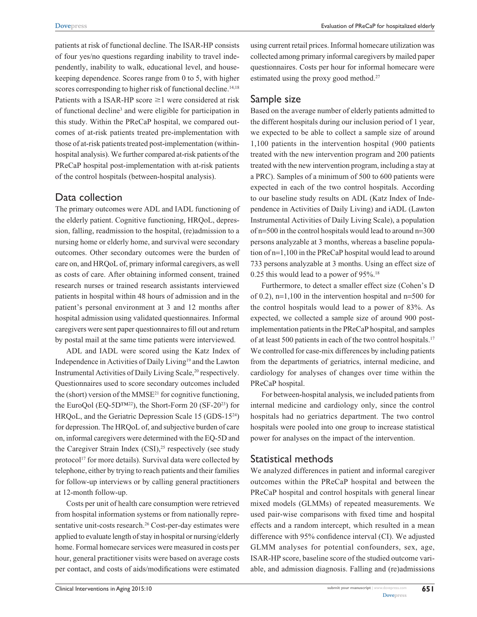patients at risk of functional decline. The ISAR-HP consists of four yes/no questions regarding inability to travel independently, inability to walk, educational level, and housekeeping dependence. Scores range from 0 to 5, with higher scores corresponding to higher risk of functional decline.<sup>14,18</sup> Patients with a ISAR-HP score  $\geq$ 1 were considered at risk of functional decline<sup>3</sup> and were eligible for participation in this study. Within the PReCaP hospital, we compared outcomes of at-risk patients treated pre-implementation with those of at-risk patients treated post-implementation (withinhospital analysis). We further compared at-risk patients of the PReCaP hospital post-implementation with at-risk patients of the control hospitals (between-hospital analysis).

#### Data collection

The primary outcomes were ADL and IADL functioning of the elderly patient. Cognitive functioning, HRQoL, depression, falling, readmission to the hospital, (re)admission to a nursing home or elderly home, and survival were secondary outcomes. Other secondary outcomes were the burden of care on, and HRQoL of, primary informal caregivers, as well as costs of care. After obtaining informed consent, trained research nurses or trained research assistants interviewed patients in hospital within 48 hours of admission and in the patient's personal environment at 3 and 12 months after hospital admission using validated questionnaires. Informal caregivers were sent paper questionnaires to fill out and return by postal mail at the same time patients were interviewed.

ADL and IADL were scored using the Katz Index of Independence in Activities of Daily Living<sup>19</sup> and the Lawton Instrumental Activities of Daily Living Scale,<sup>20</sup> respectively. Questionnaires used to score secondary outcomes included the (short) version of the MMSE<sup>21</sup> for cognitive functioning, the EuroQol (EQ-5D™22), the Short-Form 20 (SF-20<sup>23</sup>) for HRQoL, and the Geriatric Depression Scale 15 (GDS-1524) for depression. The HRQoL of, and subjective burden of care on, informal caregivers were determined with the EQ-5D and the Caregiver Strain Index  $(CSI)$ ,<sup>25</sup> respectively (see study protocol<sup>17</sup> for more details). Survival data were collected by telephone, either by trying to reach patients and their families for follow-up interviews or by calling general practitioners at 12-month follow-up.

Costs per unit of health care consumption were retrieved from hospital information systems or from nationally representative unit-costs research.<sup>26</sup> Cost-per-day estimates were applied to evaluate length of stay in hospital or nursing/elderly home. Formal homecare services were measured in costs per hour, general practitioner visits were based on average costs per contact, and costs of aids/modifications were estimated using current retail prices. Informal homecare utilization was collected among primary informal caregivers by mailed paper questionnaires. Costs per hour for informal homecare were estimated using the proxy good method.<sup>27</sup>

#### Sample size

Based on the average number of elderly patients admitted to the different hospitals during our inclusion period of 1 year, we expected to be able to collect a sample size of around 1,100 patients in the intervention hospital (900 patients treated with the new intervention program and 200 patients treated with the new intervention program, including a stay at a PRC). Samples of a minimum of 500 to 600 patients were expected in each of the two control hospitals. According to our baseline study results on ADL (Katz Index of Independence in Activities of Daily Living) and iADL (Lawton Instrumental Activities of Daily Living Scale), a population of n=500 in the control hospitals would lead to around n=300 persons analyzable at 3 months, whereas a baseline population of n=1,100 in the PReCaP hospital would lead to around 733 persons analyzable at 3 months. Using an effect size of 0.25 this would lead to a power of 95%.<sup>18</sup>

Furthermore, to detect a smaller effect size (Cohen's D of 0.2), n=1,100 in the intervention hospital and n=500 for the control hospitals would lead to a power of 83%. As expected, we collected a sample size of around 900 postimplementation patients in the PReCaP hospital, and samples of at least 500 patients in each of the two control hospitals.17 We controlled for case-mix differences by including patients from the departments of geriatrics, internal medicine, and cardiology for analyses of changes over time within the PReCaP hospital.

For between-hospital analysis, we included patients from internal medicine and cardiology only, since the control hospitals had no geriatrics department. The two control hospitals were pooled into one group to increase statistical power for analyses on the impact of the intervention.

# Statistical methods

We analyzed differences in patient and informal caregiver outcomes within the PReCaP hospital and between the PReCaP hospital and control hospitals with general linear mixed models (GLMMs) of repeated measurements. We used pair-wise comparisons with fixed time and hospital effects and a random intercept, which resulted in a mean difference with 95% confidence interval (CI). We adjusted GLMM analyses for potential confounders, sex, age, ISAR-HP score, baseline score of the studied outcome variable, and admission diagnosis. Falling and (re)admissions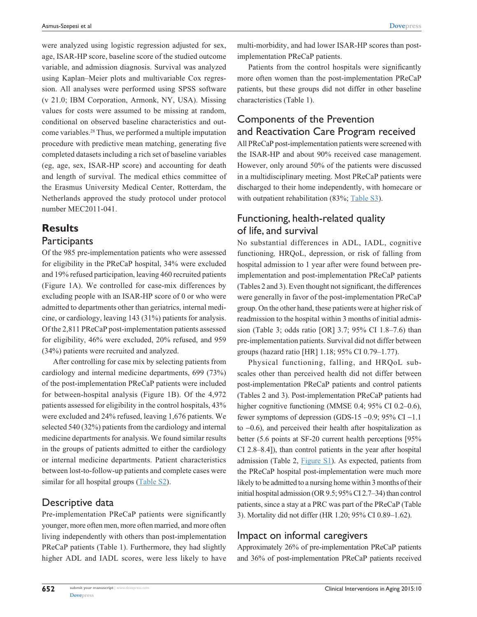were analyzed using logistic regression adjusted for sex, age, ISAR-HP score, baseline score of the studied outcome variable, and admission diagnosis. Survival was analyzed using Kaplan–Meier plots and multivariable Cox regression. All analyses were performed using SPSS software (v 21.0; IBM Corporation, Armonk, NY, USA). Missing values for costs were assumed to be missing at random, conditional on observed baseline characteristics and outcome variables.28 Thus, we performed a multiple imputation procedure with predictive mean matching, generating five completed datasets including a rich set of baseline variables (eg, age, sex, ISAR-HP score) and accounting for death and length of survival. The medical ethics committee of the Erasmus University Medical Center, Rotterdam, the Netherlands approved the study protocol under protocol number MEC2011-041.

# **Results Participants**

Of the 985 pre-implementation patients who were assessed for eligibility in the PReCaP hospital, 34% were excluded and 19% refused participation, leaving 460 recruited patients (Figure 1A). We controlled for case-mix differences by excluding people with an ISAR-HP score of 0 or who were admitted to departments other than geriatrics, internal medicine, or cardiology, leaving 143 (31%) patients for analysis. Of the 2,811 PReCaP post-implementation patients assessed for eligibility, 46% were excluded, 20% refused, and 959 (34%) patients were recruited and analyzed.

After controlling for case mix by selecting patients from cardiology and internal medicine departments, 699 (73%) of the post-implementation PReCaP patients were included for between-hospital analysis (Figure 1B). Of the 4,972 patients assessed for eligibility in the control hospitals, 43% were excluded and 24% refused, leaving 1,676 patients. We selected 540 (32%) patients from the cardiology and internal medicine departments for analysis. We found similar results in the groups of patients admitted to either the cardiology or internal medicine departments. Patient characteristics between lost-to-follow-up patients and complete cases were similar for all hospital groups [\(Table S2\)](http://www.dovepress.com/get_supplementary_file.php?f=77677_6.pdf ).

#### Descriptive data

Pre-implementation PReCaP patients were significantly younger, more often men, more often married, and more often living independently with others than post-implementation PReCaP patients (Table 1). Furthermore, they had slightly higher ADL and IADL scores, were less likely to have multi-morbidity, and had lower ISAR-HP scores than postimplementation PReCaP patients.

Patients from the control hospitals were significantly more often women than the post-implementation PReCaP patients, but these groups did not differ in other baseline characteristics ([Table 1\)](http://www.dovepress.com/get_supplementary_file.php?f=77677_7.pdf ).

# Components of the Prevention and Reactivation Care Program received

All PReCaP post-implementation patients were screened with the ISAR-HP and about 90% received case management. However, only around 50% of the patients were discussed in a multidisciplinary meeting. Most PReCaP patients were discharged to their home independently, with homecare or with outpatient rehabilitation (83%; [Table S3\)](http://www.dovepress.com/get_supplementary_file.php?f=77677_7.pdf ).

# Functioning, health-related quality of life, and survival

No substantial differences in ADL, IADL, cognitive functioning*,* HRQoL, depression, or risk of falling from hospital admission to 1 year after were found between preimplementation and post-implementation PReCaP patients (Tables 2 and 3). Even thought not significant, the differences were generally in favor of the post-implementation PReCaP group. On the other hand, these patients were at higher risk of readmission to the hospital within 3 months of initial admission (Table 3; odds ratio [OR] 3.7; 95% CI 1.8–7.6) than pre-implementation patients. Survival did not differ between groups (hazard ratio [HR] 1.18; 95% CI 0.79–1.77).

Physical functioning, falling, and HRQoL subscales other than perceived health did not differ between post-implementation PReCaP patients and control patients (Tables 2 and 3). Post-implementation PReCaP patients had higher cognitive functioning (MMSE 0.4; 95% CI 0.2-0.6), fewer symptoms of depression (GDS-15  $-0.9$ ; 95% CI  $-1.1$ ) to -0.6), and perceived their health after hospitalization as better (5.6 points at SF-20 current health perceptions [95% CI 2.8–8.4]), than control patients in the year after hospital admission (Table 2,  $Figure S1$  $Figure S1$  $Figure S1$ ). As expected, patients from</u> the PReCaP hospital post-implementation were much more likely to be admitted to a nursing home within 3 months of their initial hospital admission (OR 9.5; 95% CI 2.7–34) than control patients, since a stay at a PRC was part of the PReCaP (Table 3). Mortality did not differ (HR 1.20; 95% CI 0.89–1.62).

## Impact on informal caregivers

Approximately 26% of pre-implementation PReCaP patients and 36% of post-implementation PReCaP patients received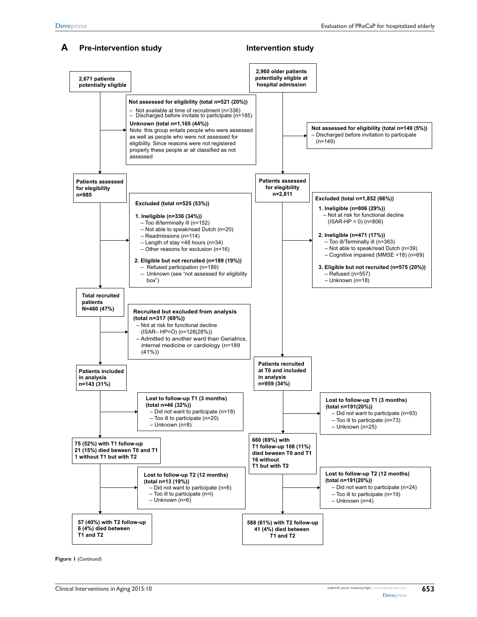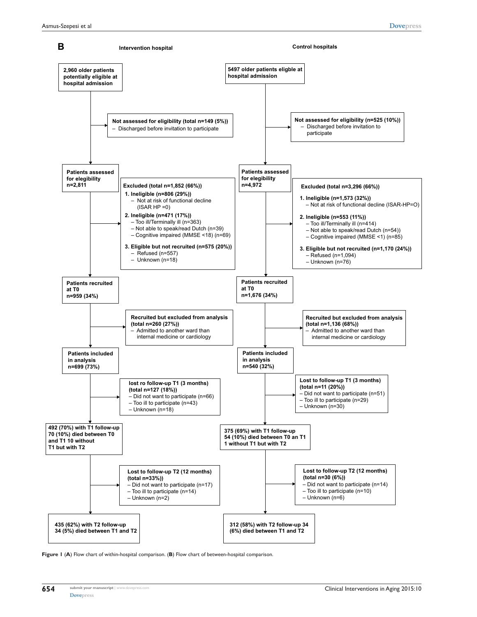

**Figure 1** (**A**) Flow chart of within-hospital comparison. (**B**) Flow chart of between-hospital comparison.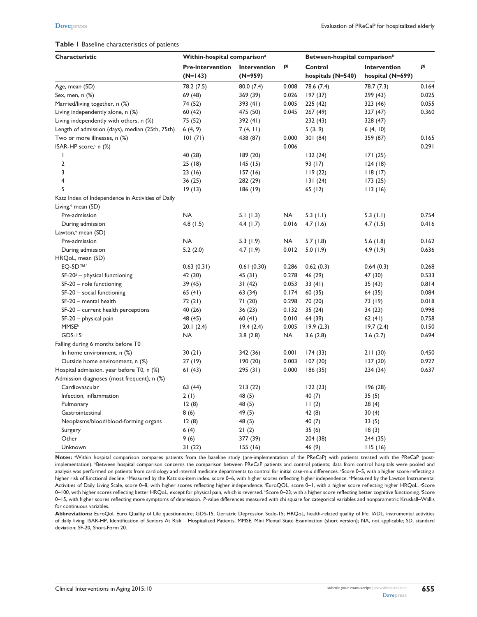#### **Table 1** Baseline characteristics of patients

| Characteristic                                    | Within-hospital comparison <sup>a</sup> |              |           | Between-hospital comparison <sup>b</sup> |                  |       |
|---------------------------------------------------|-----------------------------------------|--------------|-----------|------------------------------------------|------------------|-------|
|                                                   | <b>Pre-intervention</b>                 | Intervention | Pi        | Control                                  | Intervention     | Pi    |
|                                                   | $(N=143)$                               | $(N=959)$    |           | hospitals (N=540)                        | hospital (N=699) |       |
| Age, mean (SD)                                    | 78.2 (7.5)                              | 80.0 (7.4)   | 0.008     | 78.6 (7.4)                               | 78.7 (7.3)       | 0.164 |
| Sex, men, n (%)                                   | 69 (48)                                 | 369 (39)     | 0.026     | 197(37)                                  | 299 (43)         | 0.025 |
| Married/living together, n (%)                    | 74 (52)                                 | 393 (41)     | 0.005     | 225 (42)                                 | 323 (46)         | 0.055 |
| Living independently alone, n (%)                 | 60(42)                                  | 475 (50)     | 0.045     | 267 (49)                                 | 327 (47)         | 0.360 |
| Living independently with others, n (%)           | 75 (52)                                 | 392 (41)     |           | 232 (43)                                 | 328 (47)         |       |
| Length of admission (days), median (25th, 75th)   | 6(4, 9)                                 | 7(4, 11)     |           | 5(3, 9)                                  | 6(4, 10)         |       |
| Two or more illnesses, n (%)                      | 101(71)                                 | 438 (87)     | 0.000     | 301 (84)                                 | 359 (87)         | 0.165 |
| ISAR-HP score, <sup>c</sup> n (%)                 |                                         |              | 0.006     |                                          |                  | 0.291 |
| ı                                                 | 40 (28)                                 | 189(20)      |           | 132(24)                                  | 171(25)          |       |
| $\mathbf 2$                                       | 25(18)                                  | 145(15)      |           | 93 (17)                                  | 124(18)          |       |
| 3                                                 | 23(16)                                  | 157(16)      |           | 119(22)                                  | 118(17)          |       |
| $\overline{\mathbf{4}}$                           | 36(25)                                  | 282 (29)     |           | 131(24)                                  | 173(25)          |       |
| 5                                                 | 19(13)                                  | 186 (19)     |           | 65 (12)                                  | 113(16)          |       |
| Katz Index of Independence in Activities of Daily |                                         |              |           |                                          |                  |       |
| Living, <sup>d</sup> mean (SD)                    |                                         |              |           |                                          |                  |       |
| Pre-admission                                     | <b>NA</b>                               | 5.1(1.3)     | <b>NA</b> | 5.3 $(1.1)$                              | $5.3$ (1.1)      | 0.754 |
| During admission                                  | 4.8(1.5)                                | 4.4(1.7)     | 0.016     | 4.7(1.6)                                 | 4.7(1.5)         | 0.416 |
| Lawton, <sup>e</sup> mean (SD)                    |                                         |              |           |                                          |                  |       |
| Pre-admission                                     | <b>NA</b>                               | 5.3(1.9)     | <b>NA</b> | 5.7(1.8)                                 | 5.6(1.8)         | 0.162 |
| During admission                                  | 5.2(2.0)                                | 4.7(1.9)     | 0.012     | 5.0(1.9)                                 | 4.9(1.9)         | 0.636 |
| HRQoL, mean (SD)                                  |                                         |              |           |                                          |                  |       |
| EQ-5DTMf                                          | 0.63(0.31)                              | 0.61(0.30)   | 0.286     | 0.62(0.3)                                | 0.64(0.3)        | 0.268 |
| $SF-20g$ – physical functioning                   | 42 (30)                                 | 45 (31)      | 0.278     | 46 (29)                                  | 47 (30)          | 0.533 |
| SF-20 - role functioning                          | 39 (45)                                 | 31 (42)      | 0.053     | 33 (41)                                  | 35 (43)          | 0.814 |
| SF-20 - social functioning                        | 65(41)                                  | 63 (34)      | 0.174     | 60(35)                                   | 64 (35)          | 0.084 |
| SF-20 - mental health                             | 72 (21)                                 | 71(20)       | 0.298     | 70 (20)                                  | 73 (19)          | 0.018 |
| SF-20 - current health perceptions                | 40 (26)                                 | 36(23)       | 0.132     | 35(24)                                   | 34 (23)          | 0.998 |
| SF-20 - physical pain                             | 48 (45)                                 | 60(41)       | 0.010     | 64 (39)                                  | 62 (41)          | 0.758 |
| <b>MMSE</b> <sup>h</sup>                          | 20.1(2.4)                               | 19.4(2.4)    | 0.005     | 19.9(2.3)                                | 19.7(2.4)        | 0.150 |
| $GDS-15$                                          | <b>NA</b>                               | 3.8(2.8)     | <b>NA</b> | 3.6(2.8)                                 | 3.6(2.7)         | 0.694 |
| Falling during 6 months before T0                 |                                         |              |           |                                          |                  |       |
| In home environment, n (%)                        | 30(21)                                  | 342 (36)     | 0.001     | 174(33)                                  | 211(30)          | 0.450 |
| Outside home environment, n (%)                   | 27 (19)                                 | 190(20)      | 0.003     | 107(20)                                  | 137(20)          | 0.927 |
| Hospital admission, year before T0, n (%)         | 61(43)                                  | 295(31)      | 0.000     | 186(35)                                  | 234 (34)         | 0.637 |
| Admission diagnoses (most frequent), n (%)        |                                         |              |           |                                          |                  |       |
| Cardiovascular                                    | 63 (44)                                 | 213(22)      |           | 122(23)                                  | 196(28)          |       |
| Infection, inflammation                           | 2(1)                                    | 48 (5)       |           | 40 (7)                                   | 35 (5)           |       |
| Pulmonary                                         | 12(8)                                   | 48 (5)       |           | 11(2)                                    | 28 (4)           |       |
| Gastrointestinal                                  | 8(6)                                    | 49 (5)       |           | 42 (8)                                   | 30(4)            |       |
| Neoplasms/blood/blood-forming organs              | 12(8)                                   | 48 (5)       |           | 40 (7)                                   | 33 (5)           |       |
| Surgery                                           | 6(4)                                    | 21(2)        |           | 35(6)                                    | 18(3)            |       |
| Other                                             | 9(6)                                    | 377 (39)     |           | 204 (38)                                 | 244 (35)         |       |
| Unknown                                           | 31(22)                                  | 155(16)      |           | 46 (9)                                   | 115(16)          |       |

Notes: <sup>a</sup>Within hospital comparison compares patients from the baseline study (pre-implementation of the PReCaP) with patients treated with the PReCaP (postimplementation). <sup>B</sup>Between hospital comparison concerns the comparison between PReCaP patients and control patients; data from control hospitals were pooled and analysis was performed on patients from cardiology and internal medicine departments to control for initial case-mix differences. c Score 0–5, with a higher score reflecting a higher risk of functional decline. <sup>4</sup>Measured by the Katz six-item index, score 0–6, with higher scores reflecting higher independence. <sup>e</sup>Measured by the Lawton Instrumental Activities of Daily Living Scale, score 0–8, with higher scores reflecting higher independence. EuroQOL, score 0–1, with a higher score reflecting higher HRQoL. &Score 0–100, with higher scores reflecting better HRQoL, except for physical pain, which is reversed. "Score 0–23, with a higher score reflecting better cognitive functioning. 'Score 0–15, with higher scores reflecting more symptoms of depression. P-value differences measured with chi square for categorical variables and nonparametric Kruskall–Wallis for continuous variables.

**Abbreviations:** EuroQol, Euro Quality of Life questionnaire; GDS-15, Geriatric Depression Scale-15; HRQoL, health-related quality of life; IADL, instrumental activities of daily living; ISAR-HP, Identification of Seniors At Risk – Hospitalized Patients; MMSE, Mini Mental State Examination (short version); NA, not applicable; SD, standard deviation; SF-20, Short-Form 20.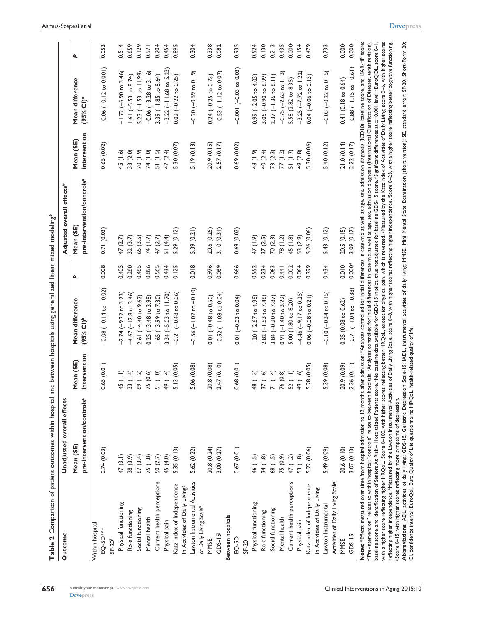| ${\sf Table~2}$ Comparison of patient outcomes within hospital and between hospitals using generalized linear mixed modeling* |                                                     |                           |                                            |                    |                                                                                                                                                                                                                                                                                                                                                                                                                                                                  |                                     |                                            |                    |
|-------------------------------------------------------------------------------------------------------------------------------|-----------------------------------------------------|---------------------------|--------------------------------------------|--------------------|------------------------------------------------------------------------------------------------------------------------------------------------------------------------------------------------------------------------------------------------------------------------------------------------------------------------------------------------------------------------------------------------------------------------------------------------------------------|-------------------------------------|--------------------------------------------|--------------------|
| Outcome                                                                                                                       | <b>Unadjusted overall effects</b>                   |                           |                                            |                    | Adjusted overall effects <sup>#</sup>                                                                                                                                                                                                                                                                                                                                                                                                                            |                                     |                                            |                    |
|                                                                                                                               | pre-intervention/controls <sup>a</sup><br>Mean (SE) | intervention<br>Mean (SE) | Mean difference<br>$(95%$ CI) <sup>b</sup> | ٩                  | pre-intervention/controls <sup>a</sup><br>Mean (SE                                                                                                                                                                                                                                                                                                                                                                                                               | intervention<br>Mean (SE)           | Mean difference<br>$(95%$ CI) <sup>c</sup> | ٩                  |
| Within hospital<br>EQ-5D <sup>TMe</sup>                                                                                       | 0.74(0.03)                                          | 0.65(0.01)                | $-0.08(-0.14$ to $-0.02)$                  | 0.008              | 0.71 (0.03)                                                                                                                                                                                                                                                                                                                                                                                                                                                      | 0.65(0.02)                          | $-0.06$ $(-0.12$ to $0.001)$               | 0.053              |
| SF-20                                                                                                                         |                                                     |                           |                                            |                    |                                                                                                                                                                                                                                                                                                                                                                                                                                                                  |                                     |                                            |                    |
| Physical functioning                                                                                                          | 47 (3.1)                                            | 45 (1.1)                  | $-2.74$ $(-9.22$ to 3.73)                  | 0.405              | 47 (2.7)                                                                                                                                                                                                                                                                                                                                                                                                                                                         | 45 (1.6)                            | $-1.72 (-6.90 to 3.46)$                    | 0.514              |
| Role functioning                                                                                                              | 38 (3.9)                                            | 33 (1.4)                  | $-4.67$ (-12.8 to 3.46)                    | 0.260              | 32(3.7)                                                                                                                                                                                                                                                                                                                                                                                                                                                          | 33 (2.0)                            | $1.61 (-5.53 to 8.74)$                     | 0.659              |
| Social functioning                                                                                                            | 67(3.4)                                             | 69 (1.2)                  | $2.61 (-4.40 to 9.62)$                     | 0.465              | 65(3.5)                                                                                                                                                                                                                                                                                                                                                                                                                                                          |                                     | $5.23$ (-1.53 to 11.99)                    | 0.129              |
| Mental health                                                                                                                 | 75 (1.8)                                            | 75 (0.6)                  | $0.25 (-3.48$ to $3.98$ )                  | 0.896              | 74 (1.7)                                                                                                                                                                                                                                                                                                                                                                                                                                                         | $70(1.9)$<br>$74(1.0)$<br>$51(1.5)$ | $-0.06$ $(-3.28$ to $3.16)$                | 0.971              |
| Current health perceptions                                                                                                    | 50 (2.7)                                            | 51(1.0)                   | 1.65 $(-3.99$ to 7.30)                     | 0.565              | 47 (2.7)                                                                                                                                                                                                                                                                                                                                                                                                                                                         |                                     | $3.39(-1.85$ to $8.64)$                    | 0.204              |
| Physical pain                                                                                                                 | 45 (4.0)                                            | (4) (4)                   | 3.34 $(-5.03 \text{ to } 11.70)$           | 0.434              | 51 (4.4)                                                                                                                                                                                                                                                                                                                                                                                                                                                         | 47 (2.4)                            | $-3.22$ ( $-11.68$ to 5.23)                | 0.454              |
| Katz Index of Independence                                                                                                    | 5.35(0.13)                                          | 5.13 (0.05)               | $-0.21 (-0.48 \text{ to } 0.06)$           | 0.125              | 5.29 (0.12)                                                                                                                                                                                                                                                                                                                                                                                                                                                      | 5.30 (0.07)                         | $0.02 (-0.22$ to $0.25)$                   | 0.895              |
| in Activities of Daily Living®                                                                                                |                                                     |                           |                                            |                    |                                                                                                                                                                                                                                                                                                                                                                                                                                                                  |                                     |                                            |                    |
| Lawton Instrumental Activities<br>of Daily Living Scaleh                                                                      | 5.62 (0.22)                                         | 0.06(0.08)                | $-0.56(-1.02 \text{ to } -0.10)$           | 0.018              | 5.39 (0.21)                                                                                                                                                                                                                                                                                                                                                                                                                                                      | 5.19(0.13)                          | $-0.20$ $(-0.59$ to 0.19)                  | 0.304              |
| <b>MMSE</b>                                                                                                                   |                                                     |                           |                                            |                    |                                                                                                                                                                                                                                                                                                                                                                                                                                                                  |                                     |                                            | 0.338              |
|                                                                                                                               | 20.8 (0.24)                                         | 20.8 (0.08)               | $0.01 (-0.48 \text{ to } 0.50)$            | 0.976              | 20.6 (0.26)                                                                                                                                                                                                                                                                                                                                                                                                                                                      | 20.9 (0.15)                         | $0.24$ (-0.25 to 0.73)                     |                    |
| $GDS-I5$                                                                                                                      | 3.00(0.27)                                          | 2.47(0.10)                | $-0.52(-1.08$ to 0.04)                     | 0.069              | 3.10(0.31)                                                                                                                                                                                                                                                                                                                                                                                                                                                       | 2.57(0.17)                          | $-0.53$ $(-1.12$ to 0.07)                  | 0.082              |
| Between hospitals                                                                                                             |                                                     |                           |                                            |                    |                                                                                                                                                                                                                                                                                                                                                                                                                                                                  |                                     |                                            |                    |
| EQ-5D                                                                                                                         | 0.67(0.01)                                          | 0.68(0.01)                | $0.01 (-0.03$ to $0.04)$                   | 0.666              | 0.69 (0.02)                                                                                                                                                                                                                                                                                                                                                                                                                                                      | 0.69(0.02)                          | $-0.001 (-0.03$ to 0.03)                   | 0.935              |
| SF-20                                                                                                                         |                                                     |                           |                                            |                    |                                                                                                                                                                                                                                                                                                                                                                                                                                                                  |                                     |                                            |                    |
| Physical functioning                                                                                                          | 46 (1.5)                                            | 18(1.3)                   | $1.20 (-2.67)$ to 4.98)                    | 0.552              | 47 (1.9)                                                                                                                                                                                                                                                                                                                                                                                                                                                         | 48 (1.9)                            | $0.99$ $(-2.05$ to $4.03)$                 | 0.524              |
| Role functioning                                                                                                              | 34(1.8)                                             | 37(1.6)                   | $2.82$ (-1.83 to 7.46)                     | 0.234              | 37(2.5)                                                                                                                                                                                                                                                                                                                                                                                                                                                          | 40 (2.4)                            | $3.05 (-0.90 to 6.99)$                     | 0.130              |
| Social functioning                                                                                                            | 68 (1.5)                                            | 71(1.4)                   | $3.84 (-0.20 \text{ to } 7.87)$            | 0.063              | 70 (2.3)                                                                                                                                                                                                                                                                                                                                                                                                                                                         | 73 (2.3)                            | $2.37(-1.36 \text{ to } 6.11)$             | 0.213              |
| Mental health                                                                                                                 | 75 (0.9)                                            | 76 (0.8)                  | $0.91 (-1.40 to 3.22)$                     | 0.441              | 78 (1.2)                                                                                                                                                                                                                                                                                                                                                                                                                                                         |                                     | $-0.75$ ( $-2.63$ to 1.13)                 | 0.435              |
| Current health perceptions                                                                                                    | 47 (1.2)                                            | 52(1.1)                   | 5.00 (1.80 to 8.20)                        | 0.002              | 45 (1.8)                                                                                                                                                                                                                                                                                                                                                                                                                                                         | $77(1.2)$<br>51 (1.7)               | 5.58 (2.82 to 8.35)                        | $0.000^{d}$        |
| Physical pain                                                                                                                 | 53 (1.8)                                            | 49 (1.6)                  | $-4.46$ $(-9.17$ to 0.25)                  | 0.064              | 53 (2.9)                                                                                                                                                                                                                                                                                                                                                                                                                                                         | 49 (2.8)                            | $-3.25$ $(-7.72$ to 1.22)                  | 0.154              |
| Katz Index of Independence                                                                                                    | 5.22 (0.06)                                         | 5.28 (0.05)               | $0.06 (-0.08 to 0.21)$                     | 0.399              | 5.26 (0.06)                                                                                                                                                                                                                                                                                                                                                                                                                                                      | 5.30 (0.06)                         | $0.04 (-0.06 \text{ to } 0.13)$            | 0.479              |
| in Activities of Daily Living                                                                                                 |                                                     |                           |                                            |                    |                                                                                                                                                                                                                                                                                                                                                                                                                                                                  |                                     |                                            |                    |
| Lawton Instrumental                                                                                                           | 5.49 (0.09)                                         | 5.39 (0.08)               | $-0.10(-0.34 \text{ to } 0.15)$            | 0.434              | 5.43 (0.12)                                                                                                                                                                                                                                                                                                                                                                                                                                                      | 5.40 (0.12)                         | $-0.03 (-0.22 \text{ to } 0.15)$           | 0.733              |
| Activities of Daily Living Scale                                                                                              |                                                     |                           |                                            |                    |                                                                                                                                                                                                                                                                                                                                                                                                                                                                  |                                     |                                            |                    |
| MMSE                                                                                                                          | 20.6 (0.10)                                         | 20.9 (0.09)               | 0.35(0.08 to 0.62)                         | 0.010              | 20.5(0.15)                                                                                                                                                                                                                                                                                                                                                                                                                                                       | 21.0 (0.14)                         | 0.41(0.18 to 0.64)                         | 0.000 <sup>d</sup> |
| GDS-15                                                                                                                        | 3.07(0.13)                                          | 2.36(0.11)                | $-0.71(-1.04$ to $-0.38$ )                 | 0.000 <sup>d</sup> | 3.09 (0.17)                                                                                                                                                                                                                                                                                                                                                                                                                                                      | 2.22(0.17)                          | $-0.88(-1.15$ to $-0.61)$                  | $0.000^{d}$        |
|                                                                                                                               |                                                     |                           |                                            |                    | Notes: *Effects measured over time from hospital admission to 12 months after admission; "Analyses controlled for initial differences in case-mix as well as age, sex, admission diagnosis (ICD10), baseline score, and ISAR-H                                                                                                                                                                                                                                   |                                     |                                            |                    |
|                                                                                                                               |                                                     |                           |                                            |                    | baseline score, and Identification of Seniors At Risk – Hospitalized Patients score. 'No baseline data available for GDS-15 in pilot, thus not adjusted for baseline GDS-15 score. "Significant differences at 0=0.00 l level.<br>"Pre-intervention" relates to within hospital; "controls" relate to between hospitals. Maryess controlled for initial differences in case mix as well as age, sex, admission diagnosis (International Classification of Diseas |                                     |                                            |                    |
| with a higher score reflecting higher HRQoL. 'Score 0-100, with higher scores                                                 |                                                     |                           |                                            |                    | reflecting better HRQoL, except for physical pain, which is reversed. Measured by the Katz Index of Activities of Daily Living, score 0–6, with higher scores                                                                                                                                                                                                                                                                                                    |                                     |                                            |                    |
|                                                                                                                               |                                                     |                           |                                            |                    | reflecting higher independence. Measured by the Lawton Insturmental Activities of Daily Living Scale, score 0-8, with higher scores reflecting higher independence. 'Score 0-23, with a higher score reflecting better cogniti                                                                                                                                                                                                                                   |                                     |                                            |                    |
| iScore 0-15, with higher scores reflecting more symptoms of depression.                                                       |                                                     |                           |                                            |                    | Abbreviations: ADL, activities of daily living; GDS-15, Geriatric Depression Scale-15; IADL, instrumental activities of daily living; MMSE, Mini Mental State Examination (short version); SE, standard error; SF-20, Short-Fo                                                                                                                                                                                                                                   |                                     |                                            |                    |
| CI, confidence interval; EuroQol, Euro Quality of Life questionnaire; HRQoL, health-related quality of life.                  |                                                     |                           |                                            |                    |                                                                                                                                                                                                                                                                                                                                                                                                                                                                  |                                     |                                            |                    |

्<br>र  $\frac{1}{3}$  $\ddot{\phantom{0}}$ ł,  $\ddot{\cdot}$ Ĭ.  $\frac{4}{7}$  $\ddot{\cdot}$ l, منطقة  $\ddot{\phantom{0}}$  $\ddot{\phantom{a}}$  $\zeta$  $\epsilon$ 

**656**

**[Dovepress](www.dovepress.com)**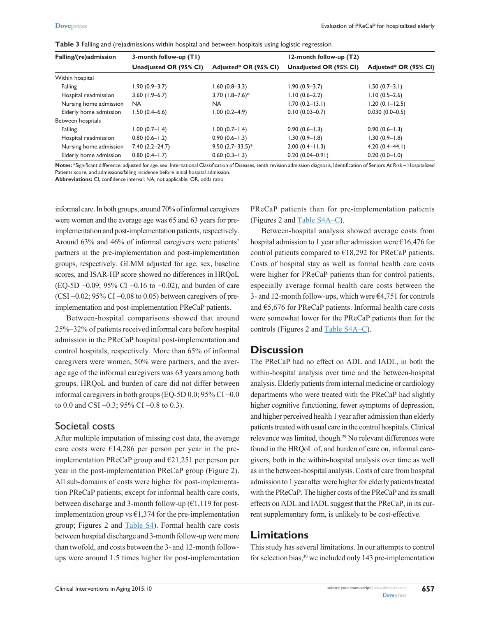| Table 3 Falling and (re)admissions within hospital and between hospitals using logistic regression |  |  |  |
|----------------------------------------------------------------------------------------------------|--|--|--|
|                                                                                                    |  |  |  |

| Falling/(re)admission  | 3-month follow-up (TI) |                       | 12-month follow-up (T2) |                       |  |
|------------------------|------------------------|-----------------------|-------------------------|-----------------------|--|
|                        | Unadjusted OR (95% CI) | Adjusted* OR (95% CI) | Unadjusted OR (95% CI)  | Adjusted* OR (95% CI) |  |
| Within hospital        |                        |                       |                         |                       |  |
| Falling                | $1.90(0.9 - 3.7)$      | $1.60(0.8-3.3)$       | $1.90(0.9 - 3.7)$       | $1.50(0.7-3.1)$       |  |
| Hospital readmission   | $3.60(1.9 - 6.7)$      | 3.70 $(1.8 - 7.6)^*$  | $1.10(0.6-2.2)$         | $1.10(0.5-2.6)$       |  |
| Nursing home admission | <b>NA</b>              | <b>NA</b>             | $1.70(0.2 - 13.1)$      | $1.20(0.1 - 12.5)$    |  |
| Elderly home admission | $1.50(0.4 - 6.6)$      | 1.00 (0.2–4.9)        | $0.10(0.03 - 0.7)$      | $0.030(0.0-0.5)$      |  |
| Between hospitals      |                        |                       |                         |                       |  |
| Falling                | $1.00(0.7 - 1.4)$      | $1.00(0.7 - 1.4)$     | $0.90(0.6 - 1.3)$       | $0.90(0.6 - 1.3)$     |  |
| Hospital readmission   | $0.80(0.6 - 1.2)$      | $0.90(0.6 - 1.3)$     | $1.30(0.9 - 1.8)$       | $1.30(0.9 - 1.8)$     |  |
| Nursing home admission | $7.40(2.2 - 24.7)$     | 9.50 $(2.7-33.5)$ *   | $2.00(0.4 - 11.3)$      | $4.20(0.4 - 44.1)$    |  |
| Elderly home admission | $0.80(0.4-1.7)$        | $0.60(0.3 - 1.3)$     | $0.20(0.04 - 0.91)$     | $0.20(0.0 - 1.0)$     |  |

**Notes:** \*Significant difference; adjusted for age, sex, International Classification of Diseases, tenth revision admission diagnosis, Identification of Seniors At Risk – Hospitalized Patients score, and admissions/falling incidence before initial hospital admission.

**Abbreviations:** CI, confidence interval; NA, not applicable; OR, odds ratio.

informal care. In both groups, around 70% of informal caregivers were women and the average age was 65 and 63 years for preimplementation and post-implementation patients, respectively. Around 63% and 46% of informal caregivers were patients' partners in the pre-implementation and post-implementation groups, respectively. GLMM adjusted for age, sex, baseline scores, and ISAR-HP score showed no differences in HRQoL  $(EQ-5D -0.09; 95\% \text{ CI} -0.16 \text{ to } -0.02)$ , and burden of care  $(CSI - 0.02; 95\% CI - 0.08$  to 0.05) between caregivers of preimplementation and post-implementation PReCaP patients.

Between-hospital comparisons showed that around 25%–32% of patients received informal care before hospital admission in the PReCaP hospital post-implementation and control hospitals, respectively. More than 65% of informal caregivers were women, 50% were partners, and the average age of the informal caregivers was 63 years among both groups. HRQoL and burden of care did not differ between informal caregivers in both groups (EQ-5D 0.0; 95% CI -0.0 to 0.0 and CSI  $-0.3$ ; 95% CI  $-0.8$  to 0.3).

#### Societal costs

After multiple imputation of missing cost data, the average care costs were  $E14,286$  per person per year in the preimplementation PReCaP group and €21,251 per person per year in the post-implementation PReCaP group (Figure 2). All sub-domains of costs were higher for post-implementation PReCaP patients, except for informal health care costs, between discharge and 3-month follow-up  $(\epsilon 1, 119)$  for postimplementation group vs  $\epsilon$ 1,374 for the pre-implementation group; Figures 2 and [Table S4](http://www.dovepress.com/get_supplementary_file.php?f=77677_2.pdf )). Formal health care costs between hospital discharge and 3-month follow-up were more than twofold, and costs between the 3- and 12-month followups were around 1.5 times higher for post-implementation PReCaP patients than for pre-implementation patients (Figures 2 and [Table S4A–C\)](http://www.dovepress.com/get_supplementary_file.php?f=77677_2.pdf ).

Between-hospital analysis showed average costs from hospital admission to 1 year after admission were  $E16,476$  for control patients compared to €18,292 for PReCaP patients. Costs of hospital stay as well as formal health care costs were higher for PReCaP patients than for control patients, especially average formal health care costs between the 3- and 12-month follow-ups, which were  $\epsilon$ 4,751 for controls and €5,676 for PReCaP patients. Informal health care costs were somewhat lower for the PReCaP patients than for the controls (Figures 2 and [Table S4A–C](http://www.dovepress.com/get_supplementary_file.php?f=77677_2.pdf )).

# **Discussion**

The PReCaP had no effect on ADL and IADL, in both the within-hospital analysis over time and the between-hospital analysis. Elderly patients from internal medicine or cardiology departments who were treated with the PReCaP had slightly higher cognitive functioning, fewer symptoms of depression, and higher perceived health 1 year after admission than elderly patients treated with usual care in the control hospitals. Clinical relevance was limited, though.29 No relevant differences were found in the HRQoL of, and burden of care on, informal caregivers, both in the within-hospital analysis over time as well as in the between-hospital analysis. Costs of care from hospital admission to 1 year after were higher for elderly patients treated with the PReCaP. The higher costs of the PReCaP and its small effects on ADL and IADL suggest that the PReCaP, in its current supplementary form, is unlikely to be cost-effective.

# **Limitations**

This study has several limitations. In our attempts to control for selection bias, $30$  we included only 143 pre-implementation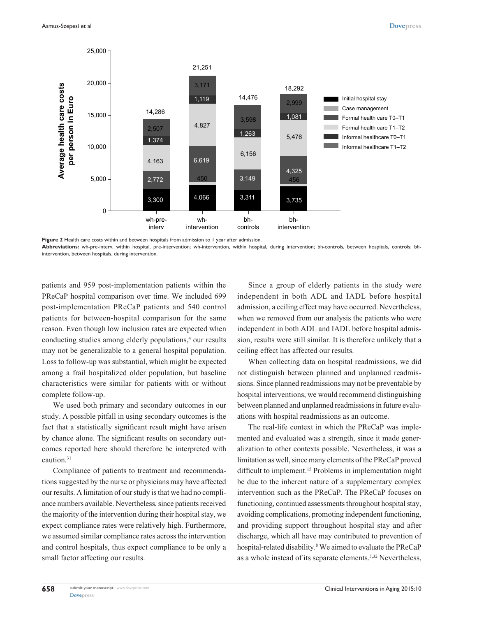

**Figure 2** Health care costs within and between hospitals from admission to 1 year after admission.

**Abbreviations:** wh-pre-interv, within hospital, pre-intervention; wh-intervention, within hospital, during intervention; bh-controls, between hospitals, controls; bhintervention, between hospitals, during intervention.

patients and 959 post-implementation patients within the PReCaP hospital comparison over time. We included 699 post-implementation PReCaP patients and 540 control patients for between-hospital comparison for the same reason. Even though low inclusion rates are expected when conducting studies among elderly populations,<sup>4</sup> our results may not be generalizable to a general hospital population. Loss to follow-up was substantial, which might be expected among a frail hospitalized older population, but baseline characteristics were similar for patients with or without complete follow-up.

We used both primary and secondary outcomes in our study. A possible pitfall in using secondary outcomes is the fact that a statistically significant result might have arisen by chance alone. The significant results on secondary outcomes reported here should therefore be interpreted with caution.31

Compliance of patients to treatment and recommendations suggested by the nurse or physicians may have affected our results. A limitation of our study is that we had no compliance numbers available. Nevertheless, since patients received the majority of the intervention during their hospital stay, we expect compliance rates were relatively high. Furthermore, we assumed similar compliance rates across the intervention and control hospitals, thus expect compliance to be only a small factor affecting our results.

Since a group of elderly patients in the study were independent in both ADL and IADL before hospital admission, a ceiling effect may have occurred. Nevertheless, when we removed from our analysis the patients who were independent in both ADL and IADL before hospital admission, results were still similar. It is therefore unlikely that a ceiling effect has affected our results.

When collecting data on hospital readmissions, we did not distinguish between planned and unplanned readmissions. Since planned readmissions may not be preventable by hospital interventions, we would recommend distinguishing between planned and unplanned readmissions in future evaluations with hospital readmissions as an outcome.

The real-life context in which the PReCaP was implemented and evaluated was a strength, since it made generalization to other contexts possible. Nevertheless, it was a limitation as well, since many elements of the PReCaP proved difficult to implement.15 Problems in implementation might be due to the inherent nature of a supplementary complex intervention such as the PReCaP. The PReCaP focuses on functioning, continued assessments throughout hospital stay, avoiding complications, promoting independent functioning, and providing support throughout hospital stay and after discharge, which all have may contributed to prevention of hospital-related disability.<sup>8</sup> We aimed to evaluate the PReCaP as a whole instead of its separate elements.<sup>5,32</sup> Nevertheless,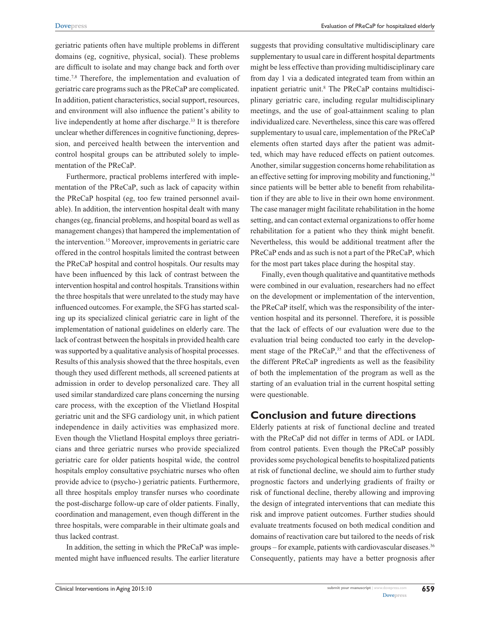geriatric patients often have multiple problems in different domains (eg, cognitive, physical, social). These problems are difficult to isolate and may change back and forth over time.<sup>7,8</sup> Therefore, the implementation and evaluation of geriatric care programs such as the PReCaP are complicated. In addition, patient characteristics, social support, resources, and environment will also influence the patient's ability to live independently at home after discharge.<sup>33</sup> It is therefore unclear whether differences in cognitive functioning, depression, and perceived health between the intervention and control hospital groups can be attributed solely to implementation of the PReCaP.

Furthermore, practical problems interfered with implementation of the PReCaP, such as lack of capacity within the PReCaP hospital (eg, too few trained personnel available). In addition, the intervention hospital dealt with many changes (eg, financial problems, and hospital board as well as management changes) that hampered the implementation of the intervention.15 Moreover, improvements in geriatric care offered in the control hospitals limited the contrast between the PReCaP hospital and control hospitals. Our results may have been influenced by this lack of contrast between the intervention hospital and control hospitals. Transitions within the three hospitals that were unrelated to the study may have influenced outcomes. For example, the SFG has started scaling up its specialized clinical geriatric care in light of the implementation of national guidelines on elderly care. The lack of contrast between the hospitals in provided health care was supported by a qualitative analysis of hospital processes. Results of this analysis showed that the three hospitals, even though they used different methods, all screened patients at admission in order to develop personalized care. They all used similar standardized care plans concerning the nursing care process, with the exception of the Vlietland Hospital geriatric unit and the SFG cardiology unit, in which patient independence in daily activities was emphasized more. Even though the Vlietland Hospital employs three geriatricians and three geriatric nurses who provide specialized geriatric care for older patients hospital wide, the control hospitals employ consultative psychiatric nurses who often provide advice to (psycho-) geriatric patients. Furthermore, all three hospitals employ transfer nurses who coordinate the post-discharge follow-up care of older patients. Finally, coordination and management, even though different in the three hospitals, were comparable in their ultimate goals and thus lacked contrast.

In addition, the setting in which the PReCaP was implemented might have influenced results. The earlier literature suggests that providing consultative multidisciplinary care supplementary to usual care in different hospital departments might be less effective than providing multidisciplinary care from day 1 via a dedicated integrated team from within an inpatient geriatric unit.<sup>8</sup> The PReCaP contains multidisciplinary geriatric care, including regular multidisciplinary meetings, and the use of goal-attainment scaling to plan individualized care. Nevertheless, since this care was offered supplementary to usual care, implementation of the PReCaP elements often started days after the patient was admitted, which may have reduced effects on patient outcomes. Another, similar suggestion concerns home rehabilitation as an effective setting for improving mobility and functioning,<sup>34</sup> since patients will be better able to benefit from rehabilitation if they are able to live in their own home environment. The case manager might facilitate rehabilitation in the home setting, and can contact external organizations to offer home rehabilitation for a patient who they think might benefit. Nevertheless, this would be additional treatment after the PReCaP ends and as such is not a part of the PReCaP, which for the most part takes place during the hospital stay.

Finally, even though qualitative and quantitative methods were combined in our evaluation, researchers had no effect on the development or implementation of the intervention, the PReCaP itself, which was the responsibility of the intervention hospital and its personnel. Therefore, it is possible that the lack of effects of our evaluation were due to the evaluation trial being conducted too early in the development stage of the PReCaP,<sup>35</sup> and that the effectiveness of the different PReCaP ingredients as well as the feasibility of both the implementation of the program as well as the starting of an evaluation trial in the current hospital setting were questionable.

## **Conclusion and future directions**

Elderly patients at risk of functional decline and treated with the PReCaP did not differ in terms of ADL or IADL from control patients. Even though the PReCaP possibly provides some psychological benefits to hospitalized patients at risk of functional decline, we should aim to further study prognostic factors and underlying gradients of frailty or risk of functional decline, thereby allowing and improving the design of integrated interventions that can mediate this risk and improve patient outcomes. Further studies should evaluate treatments focused on both medical condition and domains of reactivation care but tailored to the needs of risk groups – for example, patients with cardiovascular diseases.36 Consequently, patients may have a better prognosis after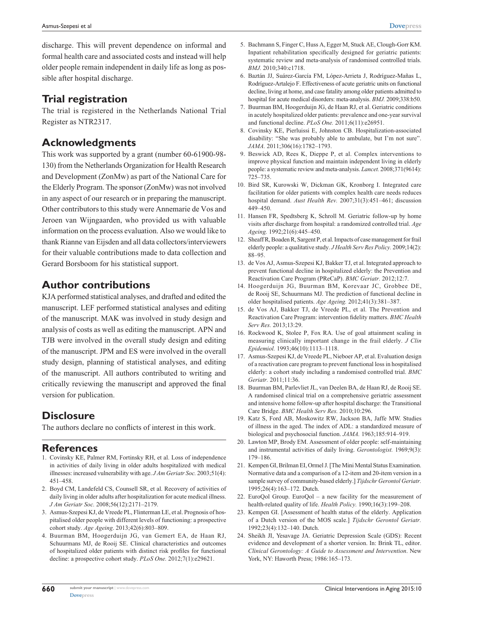discharge. This will prevent dependence on informal and formal health care and associated costs and instead will help older people remain independent in daily life as long as possible after hospital discharge.

# **Trial registration**

The trial is registered in the Netherlands National Trial Register as NTR2317.

# **Acknowledgments**

This work was supported by a grant (number 60-61900-98- 130) from the Netherlands Organization for Health Research and Development (ZonMw) as part of the National Care for the Elderly Program. The sponsor (ZonMw) was not involved in any aspect of our research or in preparing the manuscript. Other contributors to this study were Annemarie de Vos and Jeroen van Wijngaarden, who provided us with valuable information on the process evaluation. Also we would like to thank Rianne van Eijsden and all data collectors/interviewers for their valuable contributions made to data collection and Gerard Borsboom for his statistical support.

## **Author contributions**

KJA performed statistical analyses, and drafted and edited the manuscript. LEF performed statistical analyses and editing of the manuscript. MAK was involved in study design and analysis of costs as well as editing the manuscript. APN and TJB were involved in the overall study design and editing of the manuscript. JPM and ES were involved in the overall study design, planning of statistical analyses, and editing of the manuscript. All authors contributed to writing and critically reviewing the manuscript and approved the final version for publication.

# **Disclosure**

The authors declare no conflicts of interest in this work.

#### **References**

- 1. Covinsky KE, Palmer RM, Fortinsky RH, et al. Loss of independence in activities of daily living in older adults hospitalized with medical illnesses: increased vulnerability with age. *J Am Geriatr Soc.* 2003;51(4): 451–458.
- 2. Boyd CM, Landefeld CS, Counsell SR, et al. Recovery of activities of daily living in older adults after hospitalization for acute medical illness. *J Am Geriatr Soc.* 2008;56(12):2171–2179.
- 3. Asmus-Szepesi KJ, de Vreede PL, Flinterman LE, et al. Prognosis of hospitalised older people with different levels of functioning: a prospective cohort study. *Age Ageing*. 2013;42(6):803–809.
- 4. Buurman BM, Hoogerduijn JG, van Gemert EA, de Haan RJ, Schuurmans MJ, de Rooij SE. Clinical characteristics and outcomes of hospitalized older patients with distinct risk profiles for functional decline: a prospective cohort study. *PLoS One.* 2012;7(1):e29621.
- 5. Bachmann S, Finger C, Huss A, Egger M, Stuck AE, Clough-Gorr KM. Inpatient rehabilitation specifically designed for geriatric patients: systematic review and meta-analysis of randomised controlled trials. *BMJ.* 2010;340:c1718.
- 6. Baztán JJ, Suárez-García FM, López-Arrieta J, Rodríguez-Mañas L, Rodríguez-Artalejo F. Effectiveness of acute geriatric units on functional decline, living at home, and case fatality among older patients admitted to hospital for acute medical disorders: meta-analysis. *BMJ.* 2009;338:b50.
- 7. Buurman BM, Hoogerduijn JG, de Haan RJ, et al. Geriatric conditions in acutely hospitalized older patients: prevalence and one-year survival and functional decline. *PLoS One.* 2011;6(11):e26951.
- 8. Covinsky KE, Pierluissi E, Johnston CB. Hospitalization-associated disability: "She was probably able to ambulate, but I'm not sure". *JAMA.* 2011;306(16):1782–1793.
- 9. Beswick AD, Rees K, Dieppe P, et al. Complex interventions to improve physical function and maintain independent living in elderly people: a systematic review and meta-analysis. *Lancet.* 2008;371(9614): 725–735.
- 10. Bird SR, Kurowski W, Dickman GK, Kronborg I. Integrated care facilitation for older patients with complex health care needs reduces hospital demand. *Aust Health Rev.* 2007;31(3):451–461; discussion 449–450.
- 11. Hansen FR, Spedtsberg K, Schroll M. Geriatric follow-up by home visits after discharge from hospital: a randomized controlled trial. *Age Ageing.* 1992;21(6):445–450.
- 12. Sheaff R, Boaden R, Sargent P, et al. Impacts of case management for frail elderly people: a qualitative study. *J Health Serv Res Policy.* 2009;14(2): 88–95.
- 13. de Vos AJ, Asmus-Szepesi KJ, Bakker TJ, et al. Integrated approach to prevent functional decline in hospitalized elderly: the Prevention and Reactivation Care Program (PReCaP). *BMC Geriatr.* 2012;12:7.
- 14. Hoogerduijn JG, Buurman BM, Korevaar JC, Grobbee DE, de Rooij SE, Schuurmans MJ. The prediction of functional decline in older hospitalised patients. *Age Ageing.* 2012;41(3):381–387.
- 15. de Vos AJ, Bakker TJ, de Vreede PL, et al. The Prevention and Reactivation Care Program: intervention fidelity matters. *BMC Health Serv Res.* 2013;13:29.
- 16. Rockwood K, Stolee P, Fox RA. Use of goal attainment scaling in measuring clinically important change in the frail elderly. *J Clin Epidemiol.* 1993;46(10):1113–1118.
- 17. Asmus-Szepesi KJ, de Vreede PL, Nieboer AP, et al. Evaluation design of a reactivation care program to prevent functional loss in hospitalised elderly: a cohort study including a randomised controlled trial. *BMC Geriatr.* 2011;11:36.
- 18. Buurman BM, Parlevliet JL, van Deelen BA, de Haan RJ, de Rooij SE. A randomised clinical trial on a comprehensive geriatric assessment and intensive home follow-up after hospital discharge: the Transitional Care Bridge. *BMC Health Serv Res.* 2010;10:296.
- 19. Katz S, Ford AB, Moskowitz RW, Jackson BA, Jaffe MW. Studies of illness in the aged. The index of ADL: a standardized measure of biological and psychosocial function. *JAMA.* 1963;185:914–919.
- 20. Lawton MP, Brody EM. Assessment of older people: self-maintaining and instrumental activities of daily living. *Gerontologist.* 1969;9(3): 179–186.
- 21. Kempen GI, Brilman EI, Ormel J. [The Mini Mental Status Examination. Normative data and a comparison of a 12-item and 20-item version in a sample survey of community-based elderly.] *Tijdschr Gerontol Geriatr.*  1995;26(4):163–172. Dutch.
- 22. EuroQol Group. EuroQol a new facility for the measurement of health-related quality of life. *Health Policy.* 1990;16(3):199–208.
- 23. Kempen GI. [Assessment of health status of the elderly. Application of a Dutch version of the MOS scale.] *Tijdschr Gerontol Geriatr.*  1992;23(4):132–140. Dutch.
- 24. Sheikh JI, Yesavage JA. Geriatric Depression Scale (GDS): Recent evidence and development of a shorter version. In: Brink TL, editor. *Clinical Gerontology: A Guide to Assessment and Intervention*. New York, NY: Haworth Press; 1986:165–173.